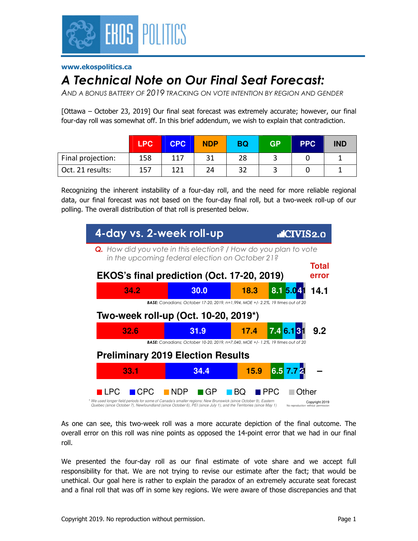

#### **www.ekospolitics.ca**

# *A Technical Note on Our Final Seat Forecast:*

*AND A BONUS BATTERY OF 2019 TRACKING ON VOTE INTENTION BY REGION AND GENDER*

[Ottawa – October 23, 2019] Our final seat forecast was extremely accurate; however, our final four-day roll was somewhat off. In this brief addendum, we wish to explain that contradiction.

|                   | <b>LPC</b> | <b>CPC</b> | <b>NDP</b> | <b>BQ</b> | <b>GP</b> | <b>PPC</b> | <b>IND</b> |
|-------------------|------------|------------|------------|-----------|-----------|------------|------------|
| Final projection: | 158        | 117        | 31         | 28        | ٮ         |            |            |
| Oct. 21 results:  | 157        | 121        | 24         | 32        |           |            |            |

Recognizing the inherent instability of a four-day roll, and the need for more reliable regional data, our final forecast was not based on the four-day final roll, but a two-week roll-up of our polling. The overall distribution of that roll is presented below.



As one can see, this two-week roll was a more accurate depiction of the final outcome. The overall error on this roll was nine points as opposed the 14-point error that we had in our final roll.

We presented the four-day roll as our final estimate of vote share and we accept full responsibility for that. We are not trying to revise our estimate after the fact; that would be unethical. Our goal here is rather to explain the paradox of an extremely accurate seat forecast and a final roll that was off in some key regions. We were aware of those discrepancies and that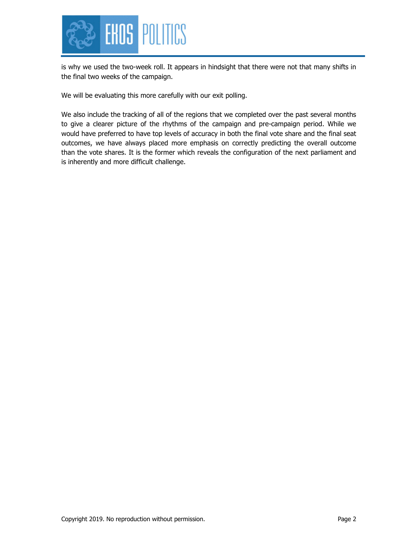

is why we used the two-week roll. It appears in hindsight that there were not that many shifts in the final two weeks of the campaign.

We will be evaluating this more carefully with our exit polling.

We also include the tracking of all of the regions that we completed over the past several months to give a clearer picture of the rhythms of the campaign and pre-campaign period. While we would have preferred to have top levels of accuracy in both the final vote share and the final seat outcomes, we have always placed more emphasis on correctly predicting the overall outcome than the vote shares. It is the former which reveals the configuration of the next parliament and is inherently and more difficult challenge.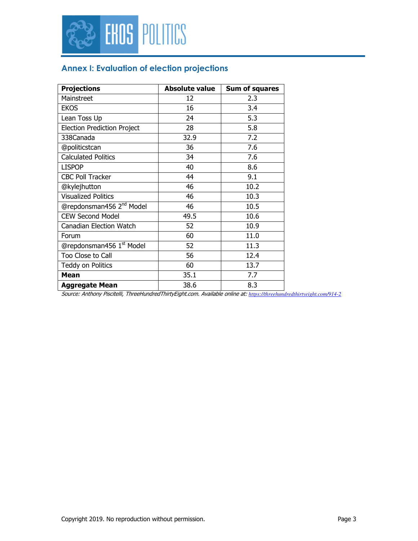

### **Annex I: Evaluation of election projections**

| <b>Projections</b>                   | <b>Absolute value</b> | Sum of squares |
|--------------------------------------|-----------------------|----------------|
| Mainstreet                           | 12                    | 2.3            |
| <b>EKOS</b>                          | 16                    | 3.4            |
| Lean Toss Up                         | 24                    | 5.3            |
| <b>Election Prediction Project</b>   | 28                    | 5.8            |
| 338Canada                            | 32.9                  | 7.2            |
| @politicstcan                        | 36                    | 7.6            |
| <b>Calculated Politics</b>           | 34                    | 7.6            |
| <b>LISPOP</b>                        | 40                    | 8.6            |
| <b>CBC Poll Tracker</b>              | 44                    | 9.1            |
| @kylejhutton                         | 46                    | 10.2           |
| <b>Visualized Politics</b>           | 46                    | 10.3           |
| @repdonsman456 2 <sup>nd</sup> Model | 46                    | 10.5           |
| <b>CEW Second Model</b>              | 49.5                  | 10.6           |
| <b>Canadian Election Watch</b>       | 52                    | 10.9           |
| Forum                                | 60                    | 11.0           |
| @repdonsman456 1st Model             | 52                    | 11.3           |
| Too Close to Call                    | 56                    | 12.4           |
| Teddy on Politics                    | 60                    | 13.7           |
| Mean                                 | 35.1                  | 7.7            |
| <b>Aggregate Mean</b>                | 38.6                  | 8.3            |

Source: Anthony Piscitelli, ThreeHundredThirtyEight.com. Available online at: *https://threehundredthirtyeight.com/914-2*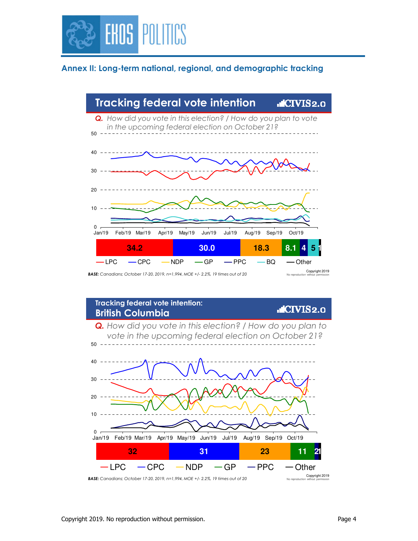

#### **Annex II: Long-term national, regional, and demographic tracking**



**Tracking federal vote intention: .CIVIS2.0 British Columbia** *Q. How did you vote in this election? / How do you plan to vote in the upcoming federal election on October 21?*  $50 - - -$ 40 30 20 10  $\Omega$ Jan/19 Feb/19 Mar/19 Apr/19 May/19 Jun/19 Jul/19 Aug/19 Sep/19 Oct/19 **32 31 23 11 12**  $LPC$   $-CPC$   $-NDP$   $-GP$   $-PPC$   $-$  Other Copyright 2019 No reproduction without permission *BASE: Canadians; October 17-20, 2019, n=1,994, MOE +/- 2.2%, 19 times out of 20*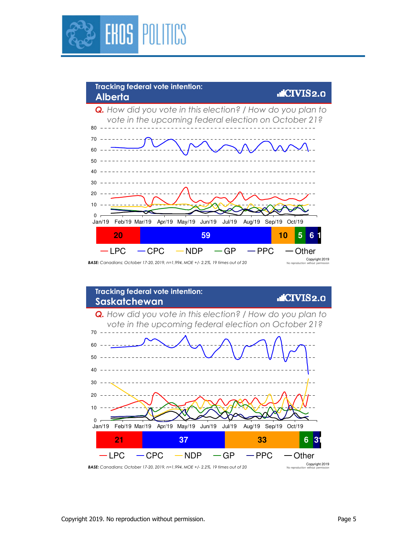



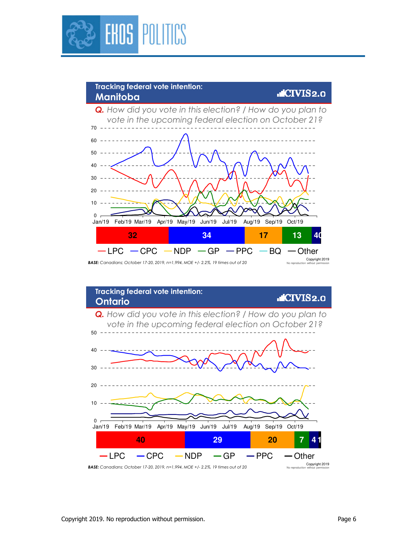



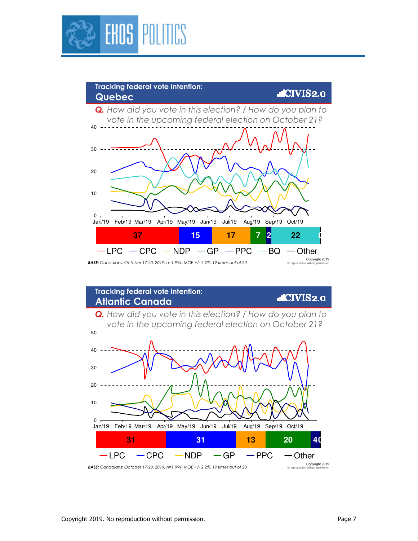

## **Tracking federal vote intention: Quebec**

#### $LCIVIS2.0$

*Q. How did you vote in this election? / How do you plan to vote in the upcoming federal election on October 21?*